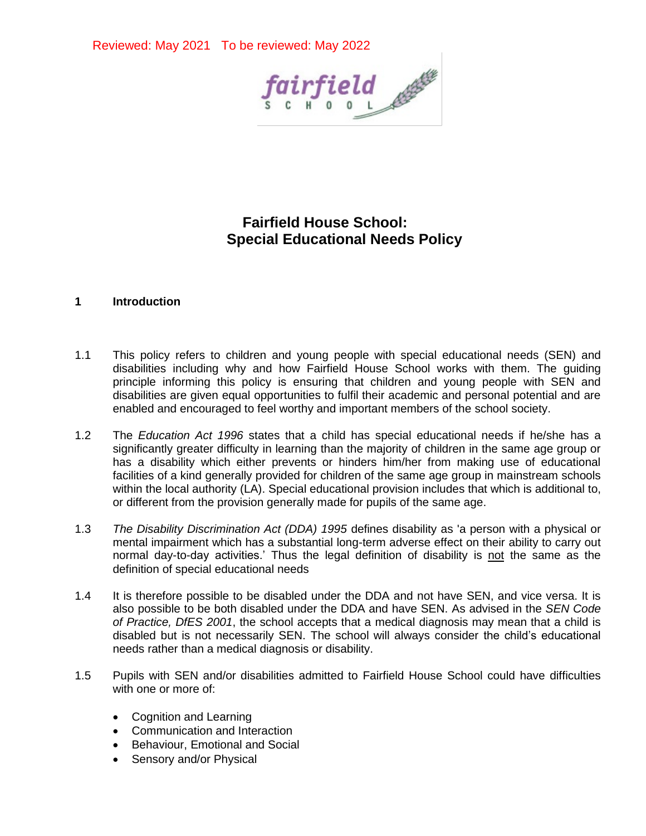

# **Fairfield House School: Special Educational Needs Policy**

### **1 Introduction**

- 1.1 This policy refers to children and young people with special educational needs (SEN) and disabilities including why and how Fairfield House School works with them. The guiding principle informing this policy is ensuring that children and young people with SEN and disabilities are given equal opportunities to fulfil their academic and personal potential and are enabled and encouraged to feel worthy and important members of the school society.
- 1.2 The *Education Act 1996* states that a child has special educational needs if he/she has a significantly greater difficulty in learning than the majority of children in the same age group or has a disability which either prevents or hinders him/her from making use of educational facilities of a kind generally provided for children of the same age group in mainstream schools within the local authority (LA). Special educational provision includes that which is additional to, or different from the provision generally made for pupils of the same age.
- 1.3 *The Disability Discrimination Act (DDA) 1995* defines disability as 'a person with a physical or mental impairment which has a substantial long-term adverse effect on their ability to carry out normal day-to-day activities.' Thus the legal definition of disability is not the same as the definition of special educational needs
- 1.4 It is therefore possible to be disabled under the DDA and not have SEN, and vice versa. It is also possible to be both disabled under the DDA and have SEN. As advised in the *SEN Code of Practice, DfES 2001*, the school accepts that a medical diagnosis may mean that a child is disabled but is not necessarily SEN. The school will always consider the child's educational needs rather than a medical diagnosis or disability.
- 1.5 Pupils with SEN and/or disabilities admitted to Fairfield House School could have difficulties with one or more of:
	- Cognition and Learning
	- Communication and Interaction
	- Behaviour, Emotional and Social
	- Sensory and/or Physical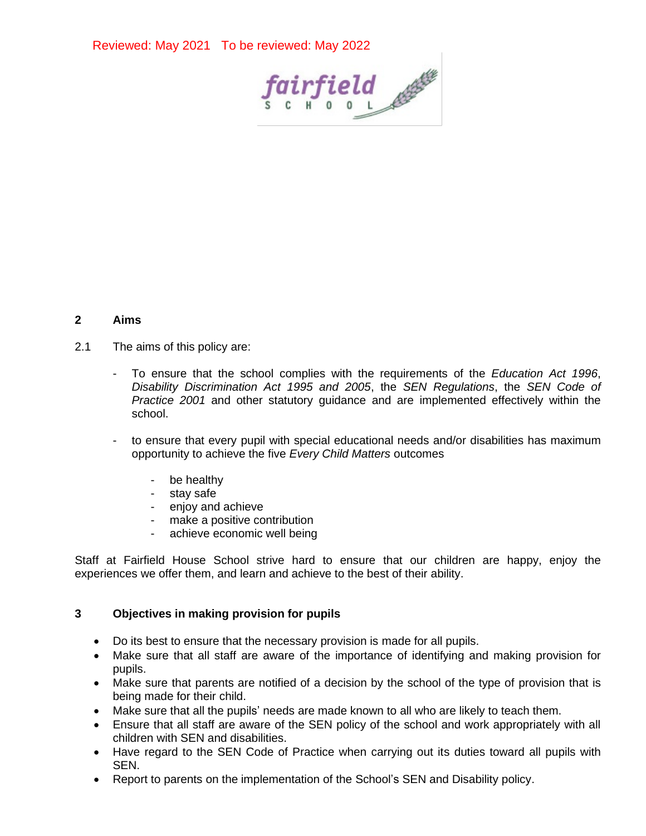

## **2 Aims**

- 2.1 The aims of this policy are:
	- To ensure that the school complies with the requirements of the *Education Act 1996*, *Disability Discrimination Act 1995 and 2005*, the *SEN Regulations*, the *SEN Code of Practice 2001* and other statutory guidance and are implemented effectively within the school.
	- to ensure that every pupil with special educational needs and/or disabilities has maximum opportunity to achieve the five *Every Child Matters* outcomes
		- be healthy
		- stay safe
		- enjoy and achieve
		- make a positive contribution
		- achieve economic well being

Staff at Fairfield House School strive hard to ensure that our children are happy, enjoy the experiences we offer them, and learn and achieve to the best of their ability.

## **3 Objectives in making provision for pupils**

- Do its best to ensure that the necessary provision is made for all pupils.
- Make sure that all staff are aware of the importance of identifying and making provision for pupils.
- Make sure that parents are notified of a decision by the school of the type of provision that is being made for their child.
- Make sure that all the pupils' needs are made known to all who are likely to teach them.
- Ensure that all staff are aware of the SEN policy of the school and work appropriately with all children with SEN and disabilities.
- Have regard to the SEN Code of Practice when carrying out its duties toward all pupils with SEN.
- Report to parents on the implementation of the School's SEN and Disability policy.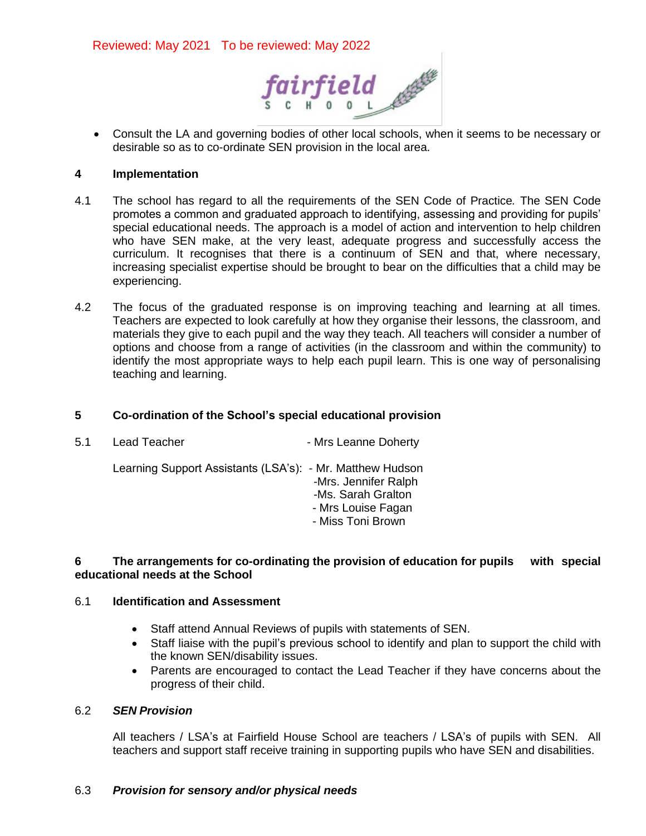

• Consult the LA and governing bodies of other local schools, when it seems to be necessary or desirable so as to co-ordinate SEN provision in the local area.

### **4 Implementation**

- 4.1 The school has regard to all the requirements of the SEN Code of Practice*.* The SEN Code promotes a common and graduated approach to identifying, assessing and providing for pupils' special educational needs. The approach is a model of action and intervention to help children who have SEN make, at the very least, adequate progress and successfully access the curriculum. It recognises that there is a continuum of SEN and that, where necessary, increasing specialist expertise should be brought to bear on the difficulties that a child may be experiencing.
- 4.2 The focus of the graduated response is on improving teaching and learning at all times. Teachers are expected to look carefully at how they organise their lessons, the classroom, and materials they give to each pupil and the way they teach. All teachers will consider a number of options and choose from a range of activities (in the classroom and within the community) to identify the most appropriate ways to help each pupil learn. This is one way of personalising teaching and learning.

### **5 Co-ordination of the School's special educational provision**

| 5.1 | Lead Teacher                                              | - Mrs Leanne Doherty                                                                  |
|-----|-----------------------------------------------------------|---------------------------------------------------------------------------------------|
|     | Learning Support Assistants (LSA's): - Mr. Matthew Hudson | -Mrs. Jennifer Ralph<br>-Ms. Sarah Gralton<br>- Mrs Louise Fagan<br>- Miss Toni Brown |

## **6 The arrangements for co-ordinating the provision of education for pupils with special educational needs at the School**

### 6.1 **Identification and Assessment**

- Staff attend Annual Reviews of pupils with statements of SEN.
- Staff liaise with the pupil's previous school to identify and plan to support the child with the known SEN/disability issues.
- Parents are encouraged to contact the Lead Teacher if they have concerns about the progress of their child.

## 6.2 *SEN Provision*

All teachers / LSA's at Fairfield House School are teachers / LSA's of pupils with SEN. All teachers and support staff receive training in supporting pupils who have SEN and disabilities.

## 6.3 *Provision for sensory and/or physical needs*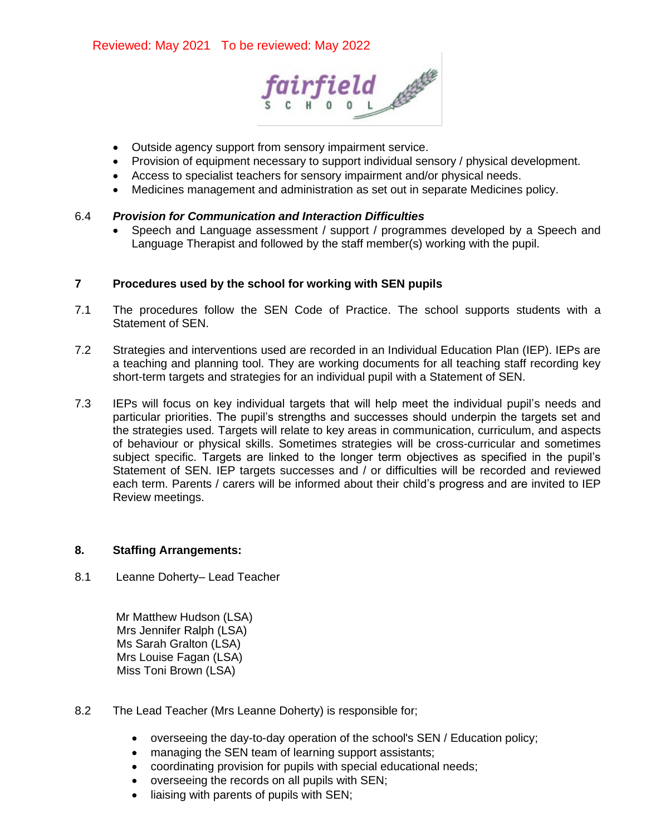

- Outside agency support from sensory impairment service.
- Provision of equipment necessary to support individual sensory / physical development.
- Access to specialist teachers for sensory impairment and/or physical needs.
- Medicines management and administration as set out in separate Medicines policy.

## 6.4 *Provision for Communication and Interaction Difficulties*

• Speech and Language assessment / support / programmes developed by a Speech and Language Therapist and followed by the staff member(s) working with the pupil.

## **7 Procedures used by the school for working with SEN pupils**

- 7.1 The procedures follow the SEN Code of Practice. The school supports students with a Statement of SEN.
- 7.2 Strategies and interventions used are recorded in an Individual Education Plan (IEP). IEPs are a teaching and planning tool. They are working documents for all teaching staff recording key short-term targets and strategies for an individual pupil with a Statement of SEN.
- 7.3 IEPs will focus on key individual targets that will help meet the individual pupil's needs and particular priorities. The pupil's strengths and successes should underpin the targets set and the strategies used. Targets will relate to key areas in communication, curriculum, and aspects of behaviour or physical skills. Sometimes strategies will be cross-curricular and sometimes subject specific. Targets are linked to the longer term objectives as specified in the pupil's Statement of SEN. IEP targets successes and / or difficulties will be recorded and reviewed each term. Parents / carers will be informed about their child's progress and are invited to IEP Review meetings.

#### **8. Staffing Arrangements:**

8.1 Leanne Doherty– Lead Teacher

Mr Matthew Hudson (LSA) Mrs Jennifer Ralph (LSA) Ms Sarah Gralton (LSA) **Mrs Louise Fagan (LSA)** Miss Toni Brown (LSA)

- 8.2 The Lead Teacher (Mrs Leanne Doherty) is responsible for;
	- overseeing the day-to-day operation of the school's SEN / Education policy;
	- managing the SEN team of learning support assistants;
	- coordinating provision for pupils with special educational needs;
	- overseeing the records on all pupils with SEN;
	- liaising with parents of pupils with SEN;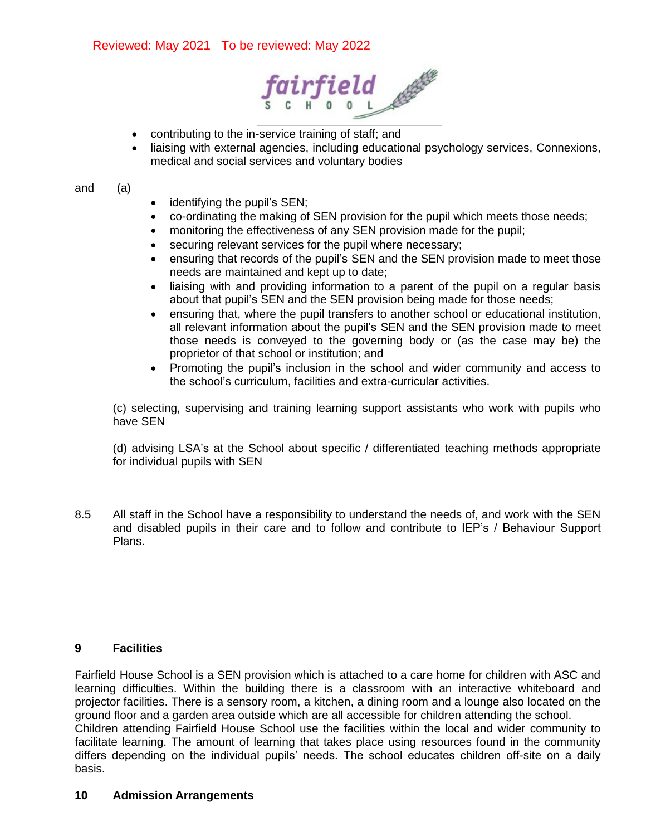

- contributing to the in-service training of staff; and
- liaising with external agencies, including educational psychology services, Connexions, medical and social services and voluntary bodies

#### and (a)

- identifying the pupil's SEN;
- co-ordinating the making of SEN provision for the pupil which meets those needs;
- monitoring the effectiveness of any SEN provision made for the pupil;
- securing relevant services for the pupil where necessary;
- ensuring that records of the pupil's SEN and the SEN provision made to meet those needs are maintained and kept up to date;
- liaising with and providing information to a parent of the pupil on a regular basis about that pupil's SEN and the SEN provision being made for those needs;
- ensuring that, where the pupil transfers to another school or educational institution, all relevant information about the pupil's SEN and the SEN provision made to meet those needs is conveyed to the governing body or (as the case may be) the proprietor of that school or institution; and
- Promoting the pupil's inclusion in the school and wider community and access to the school's curriculum, facilities and extra-curricular activities.

(c) selecting, supervising and training learning support assistants who work with pupils who have SEN

(d) advising LSA's at the School about specific / differentiated teaching methods appropriate for individual pupils with SEN

8.5 All staff in the School have a responsibility to understand the needs of, and work with the SEN and disabled pupils in their care and to follow and contribute to IEP's / Behaviour Support Plans.

#### **9 Facilities**

Fairfield House School is a SEN provision which is attached to a care home for children with ASC and learning difficulties. Within the building there is a classroom with an interactive whiteboard and projector facilities. There is a sensory room, a kitchen, a dining room and a lounge also located on the ground floor and a garden area outside which are all accessible for children attending the school. Children attending Fairfield House School use the facilities within the local and wider community to facilitate learning. The amount of learning that takes place using resources found in the community differs depending on the individual pupils' needs. The school educates children off-site on a daily basis.

#### **10 Admission Arrangements**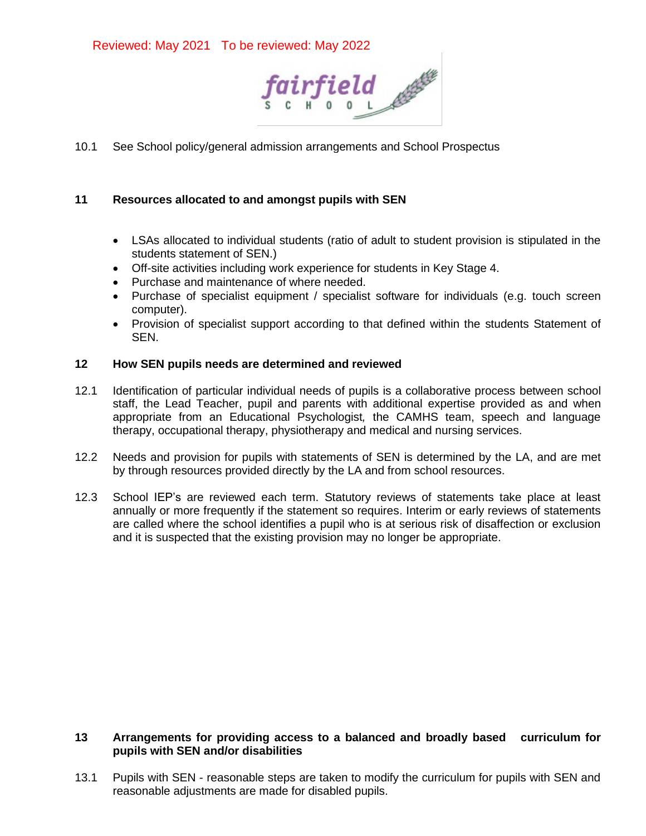

10.1 See School policy/general admission arrangements and School Prospectus

# **11 Resources allocated to and amongst pupils with SEN**

- LSAs allocated to individual students (ratio of adult to student provision is stipulated in the students statement of SEN.)
- Off-site activities including work experience for students in Key Stage 4.
- Purchase and maintenance of where needed.
- Purchase of specialist equipment / specialist software for individuals (e.g. touch screen computer).
- Provision of specialist support according to that defined within the students Statement of SEN.

## **12 How SEN pupils needs are determined and reviewed**

- 12.1 Identification of particular individual needs of pupils is a collaborative process between school staff, the Lead Teacher, pupil and parents with additional expertise provided as and when appropriate from an Educational Psychologist*,* the CAMHS team, speech and language therapy, occupational therapy, physiotherapy and medical and nursing services.
- 12.2 Needs and provision for pupils with statements of SEN is determined by the LA, and are met by through resources provided directly by the LA and from school resources.
- 12.3 School IEP's are reviewed each term. Statutory reviews of statements take place at least annually or more frequently if the statement so requires. Interim or early reviews of statements are called where the school identifies a pupil who is at serious risk of disaffection or exclusion and it is suspected that the existing provision may no longer be appropriate.

# **13 Arrangements for providing access to a balanced and broadly based curriculum for pupils with SEN and/or disabilities**

13.1 Pupils with SEN - reasonable steps are taken to modify the curriculum for pupils with SEN and reasonable adjustments are made for disabled pupils.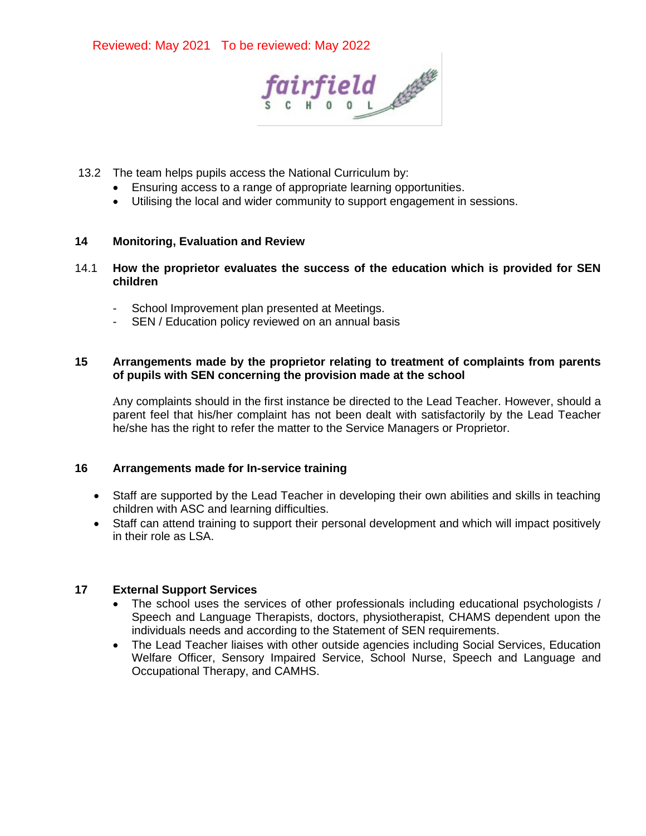

- 13.2 The team helps pupils access the National Curriculum by:
	- Ensuring access to a range of appropriate learning opportunities.
	- Utilising the local and wider community to support engagement in sessions.

## **14 Monitoring, Evaluation and Review**

- 14.1 **How the proprietor evaluates the success of the education which is provided for SEN children**
	- School Improvement plan presented at Meetings.
	- SEN / Education policy reviewed on an annual basis

## **15 Arrangements made by the proprietor relating to treatment of complaints from parents of pupils with SEN concerning the provision made at the school**

Any complaints should in the first instance be directed to the Lead Teacher. However, should a parent feel that his/her complaint has not been dealt with satisfactorily by the Lead Teacher he/she has the right to refer the matter to the Service Managers or Proprietor.

## **16 Arrangements made for In-service training**

- Staff are supported by the Lead Teacher in developing their own abilities and skills in teaching children with ASC and learning difficulties.
- Staff can attend training to support their personal development and which will impact positively in their role as LSA.

## **17 External Support Services**

- The school uses the services of other professionals including educational psychologists / Speech and Language Therapists, doctors, physiotherapist, CHAMS dependent upon the individuals needs and according to the Statement of SEN requirements.
- The Lead Teacher liaises with other outside agencies including Social Services, Education Welfare Officer, Sensory Impaired Service, School Nurse, Speech and Language and Occupational Therapy, and CAMHS.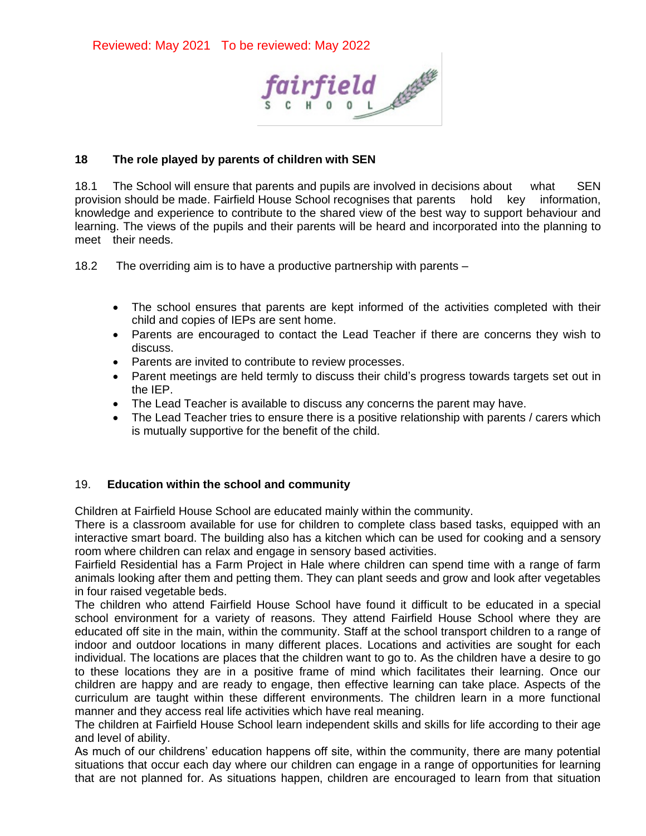

# **18 The role played by parents of children with SEN**

18.1 The School will ensure that parents and pupils are involved in decisions about what SEN provision should be made. Fairfield House School recognises that parents hold key information, knowledge and experience to contribute to the shared view of the best way to support behaviour and learning. The views of the pupils and their parents will be heard and incorporated into the planning to meet their needs.

18.2 The overriding aim is to have a productive partnership with parents –

- The school ensures that parents are kept informed of the activities completed with their child and copies of IEPs are sent home.
- Parents are encouraged to contact the Lead Teacher if there are concerns they wish to discuss.
- Parents are invited to contribute to review processes.
- Parent meetings are held termly to discuss their child's progress towards targets set out in the IEP.
- The Lead Teacher is available to discuss any concerns the parent may have.
- The Lead Teacher tries to ensure there is a positive relationship with parents / carers which is mutually supportive for the benefit of the child.

## 19. **Education within the school and community**

Children at Fairfield House School are educated mainly within the community.

There is a classroom available for use for children to complete class based tasks, equipped with an interactive smart board. The building also has a kitchen which can be used for cooking and a sensory room where children can relax and engage in sensory based activities.

Fairfield Residential has a Farm Project in Hale where children can spend time with a range of farm animals looking after them and petting them. They can plant seeds and grow and look after vegetables in four raised vegetable beds.

The children who attend Fairfield House School have found it difficult to be educated in a special school environment for a variety of reasons. They attend Fairfield House School where they are educated off site in the main, within the community. Staff at the school transport children to a range of indoor and outdoor locations in many different places. Locations and activities are sought for each individual. The locations are places that the children want to go to. As the children have a desire to go to these locations they are in a positive frame of mind which facilitates their learning. Once our children are happy and are ready to engage, then effective learning can take place. Aspects of the curriculum are taught within these different environments. The children learn in a more functional manner and they access real life activities which have real meaning.

The children at Fairfield House School learn independent skills and skills for life according to their age and level of ability.

As much of our childrens' education happens off site, within the community, there are many potential situations that occur each day where our children can engage in a range of opportunities for learning that are not planned for. As situations happen, children are encouraged to learn from that situation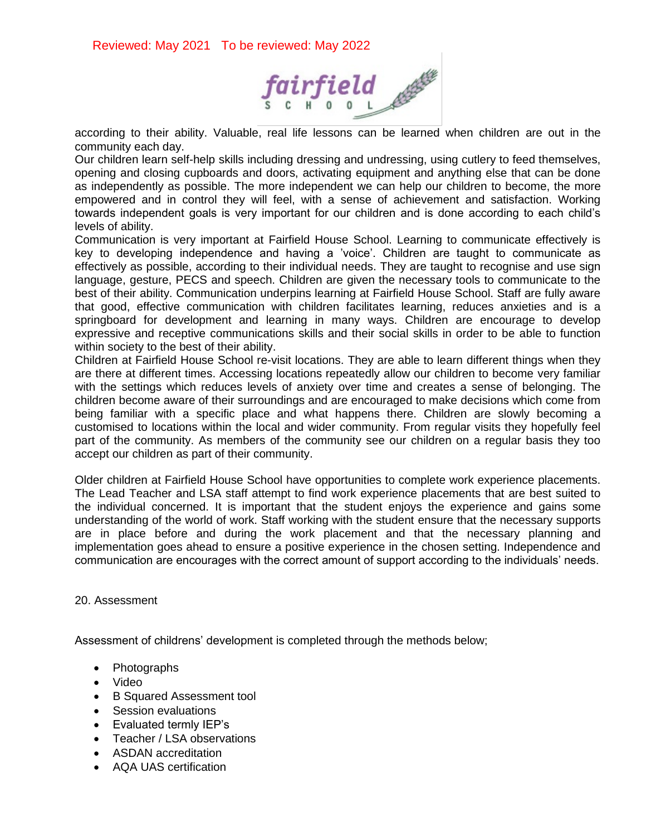

according to their ability. Valuable, real life lessons can be learned when children are out in the community each day.

Our children learn self-help skills including dressing and undressing, using cutlery to feed themselves, opening and closing cupboards and doors, activating equipment and anything else that can be done as independently as possible. The more independent we can help our children to become, the more empowered and in control they will feel, with a sense of achievement and satisfaction. Working towards independent goals is very important for our children and is done according to each child's levels of ability.

Communication is very important at Fairfield House School. Learning to communicate effectively is key to developing independence and having a 'voice'. Children are taught to communicate as effectively as possible, according to their individual needs. They are taught to recognise and use sign language, gesture, PECS and speech. Children are given the necessary tools to communicate to the best of their ability. Communication underpins learning at Fairfield House School. Staff are fully aware that good, effective communication with children facilitates learning, reduces anxieties and is a springboard for development and learning in many ways. Children are encourage to develop expressive and receptive communications skills and their social skills in order to be able to function within society to the best of their ability.

Children at Fairfield House School re-visit locations. They are able to learn different things when they are there at different times. Accessing locations repeatedly allow our children to become very familiar with the settings which reduces levels of anxiety over time and creates a sense of belonging. The children become aware of their surroundings and are encouraged to make decisions which come from being familiar with a specific place and what happens there. Children are slowly becoming a customised to locations within the local and wider community. From regular visits they hopefully feel part of the community. As members of the community see our children on a regular basis they too accept our children as part of their community.

Older children at Fairfield House School have opportunities to complete work experience placements. The Lead Teacher and LSA staff attempt to find work experience placements that are best suited to the individual concerned. It is important that the student enjoys the experience and gains some understanding of the world of work. Staff working with the student ensure that the necessary supports are in place before and during the work placement and that the necessary planning and implementation goes ahead to ensure a positive experience in the chosen setting. Independence and communication are encourages with the correct amount of support according to the individuals' needs.

#### 20. Assessment

Assessment of childrens' development is completed through the methods below;

- Photographs
- Video
- B Squared Assessment tool
- Session evaluations
- Evaluated termly IEP's
- Teacher / LSA observations
- ASDAN accreditation
- AQA UAS certification